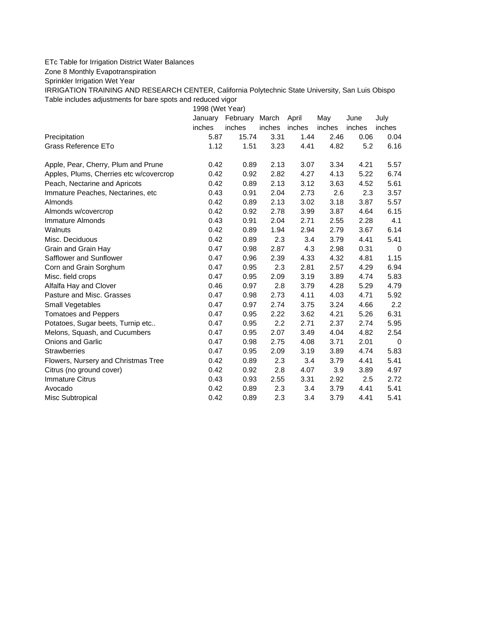## ETc Table for Irrigation District Water Balances

Zone 8 Monthly Evapotranspiration

Sprinkler Irrigation Wet Year

IRRIGATION TRAINING AND RESEARCH CENTER, California Polytechnic State University, San Luis Obispo Table includes adjustments for bare spots and reduced vigor

1998 (Wet Year)

|                                         | January | February | March  | April  | May    | June   | July     |
|-----------------------------------------|---------|----------|--------|--------|--------|--------|----------|
|                                         | inches  | inches   | inches | inches | inches | inches | inches   |
| Precipitation                           | 5.87    | 15.74    | 3.31   | 1.44   | 2.46   | 0.06   | 0.04     |
| Grass Reference ETo                     | 1.12    | 1.51     | 3.23   | 4.41   | 4.82   | 5.2    | 6.16     |
| Apple, Pear, Cherry, Plum and Prune     | 0.42    | 0.89     | 2.13   | 3.07   | 3.34   | 4.21   | 5.57     |
| Apples, Plums, Cherries etc w/covercrop | 0.42    | 0.92     | 2.82   | 4.27   | 4.13   | 5.22   | 6.74     |
| Peach, Nectarine and Apricots           | 0.42    | 0.89     | 2.13   | 3.12   | 3.63   | 4.52   | 5.61     |
| Immature Peaches, Nectarines, etc.      | 0.43    | 0.91     | 2.04   | 2.73   | 2.6    | 2.3    | 3.57     |
| Almonds                                 | 0.42    | 0.89     | 2.13   | 3.02   | 3.18   | 3.87   | 5.57     |
| Almonds w/covercrop                     | 0.42    | 0.92     | 2.78   | 3.99   | 3.87   | 4.64   | 6.15     |
| Immature Almonds                        | 0.43    | 0.91     | 2.04   | 2.71   | 2.55   | 2.28   | 4.1      |
| Walnuts                                 | 0.42    | 0.89     | 1.94   | 2.94   | 2.79   | 3.67   | 6.14     |
| Misc. Deciduous                         | 0.42    | 0.89     | 2.3    | 3.4    | 3.79   | 4.41   | 5.41     |
| Grain and Grain Hay                     | 0.47    | 0.98     | 2.87   | 4.3    | 2.98   | 0.31   | $\Omega$ |
| Safflower and Sunflower                 | 0.47    | 0.96     | 2.39   | 4.33   | 4.32   | 4.81   | 1.15     |
| Corn and Grain Sorghum                  | 0.47    | 0.95     | 2.3    | 2.81   | 2.57   | 4.29   | 6.94     |
| Misc. field crops                       | 0.47    | 0.95     | 2.09   | 3.19   | 3.89   | 4.74   | 5.83     |
| Alfalfa Hay and Clover                  | 0.46    | 0.97     | 2.8    | 3.79   | 4.28   | 5.29   | 4.79     |
| Pasture and Misc. Grasses               | 0.47    | 0.98     | 2.73   | 4.11   | 4.03   | 4.71   | 5.92     |
| Small Vegetables                        | 0.47    | 0.97     | 2.74   | 3.75   | 3.24   | 4.66   | 2.2      |
| <b>Tomatoes and Peppers</b>             | 0.47    | 0.95     | 2.22   | 3.62   | 4.21   | 5.26   | 6.31     |
| Potatoes, Sugar beets, Turnip etc       | 0.47    | 0.95     | 2.2    | 2.71   | 2.37   | 2.74   | 5.95     |
| Melons, Squash, and Cucumbers           | 0.47    | 0.95     | 2.07   | 3.49   | 4.04   | 4.82   | 2.54     |
| <b>Onions and Garlic</b>                | 0.47    | 0.98     | 2.75   | 4.08   | 3.71   | 2.01   | $\Omega$ |
| <b>Strawberries</b>                     | 0.47    | 0.95     | 2.09   | 3.19   | 3.89   | 4.74   | 5.83     |
| Flowers, Nursery and Christmas Tree     | 0.42    | 0.89     | 2.3    | 3.4    | 3.79   | 4.41   | 5.41     |
| Citrus (no ground cover)                | 0.42    | 0.92     | 2.8    | 4.07   | 3.9    | 3.89   | 4.97     |
| <b>Immature Citrus</b>                  | 0.43    | 0.93     | 2.55   | 3.31   | 2.92   | 2.5    | 2.72     |
| Avocado                                 | 0.42    | 0.89     | 2.3    | 3.4    | 3.79   | 4.41   | 5.41     |
| Misc Subtropical                        | 0.42    | 0.89     | 2.3    | 3.4    | 3.79   | 4.41   | 5.41     |